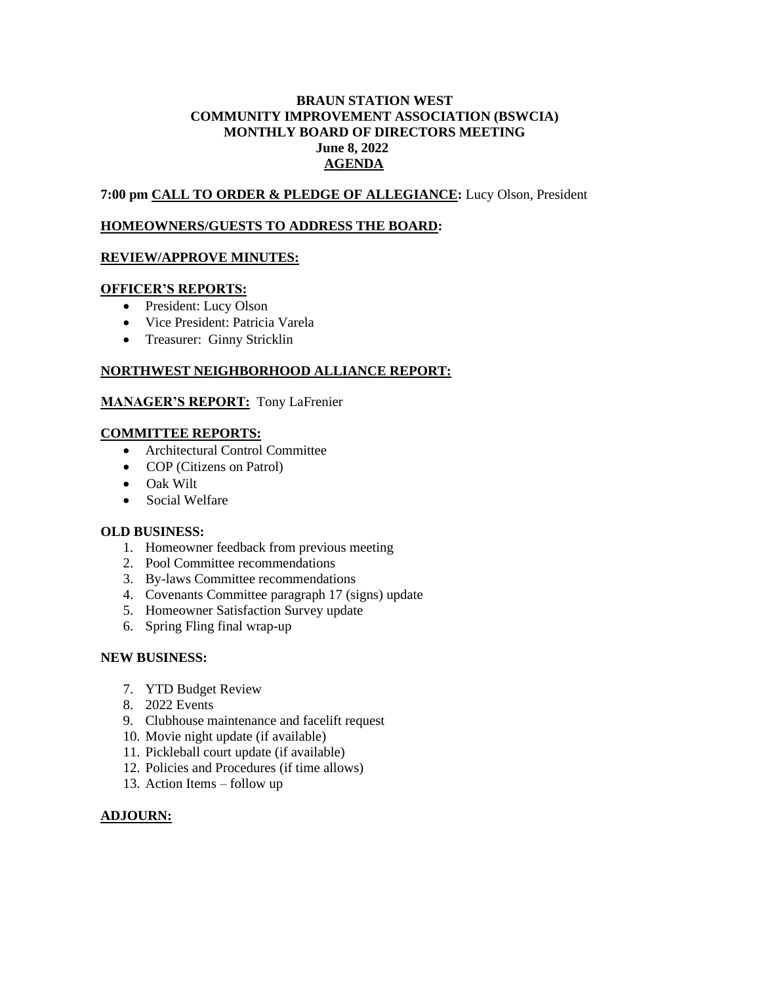## **BRAUN STATION WEST COMMUNITY IMPROVEMENT ASSOCIATION (BSWCIA) MONTHLY BOARD OF DIRECTORS MEETING June 8, 2022 AGENDA**

**7:00 pm CALL TO ORDER & PLEDGE OF ALLEGIANCE:** Lucy Olson, President

#### **HOMEOWNERS/GUESTS TO ADDRESS THE BOARD:**

## **REVIEW/APPROVE MINUTES:**

#### **OFFICER'S REPORTS:**

- President: Lucy Olson
- Vice President: Patricia Varela
- Treasurer: Ginny Stricklin

## **NORTHWEST NEIGHBORHOOD ALLIANCE REPORT:**

#### **MANAGER'S REPORT:** Tony LaFrenier

#### **COMMITTEE REPORTS:**

- Architectural Control Committee
- COP (Citizens on Patrol)
- Oak Wilt
- Social Welfare

#### **OLD BUSINESS:**

- 1. Homeowner feedback from previous meeting
- 2. Pool Committee recommendations
- 3. By-laws Committee recommendations
- 4. Covenants Committee paragraph 17 (signs) update
- 5. Homeowner Satisfaction Survey update
- 6. Spring Fling final wrap-up

#### **NEW BUSINESS:**

- 7. YTD Budget Review
- 8. 2022 Events
- 9. Clubhouse maintenance and facelift request
- 10. Movie night update (if available)
- 11. Pickleball court update (if available)
- 12. Policies and Procedures (if time allows)
- 13. Action Items follow up

# **ADJOURN:**